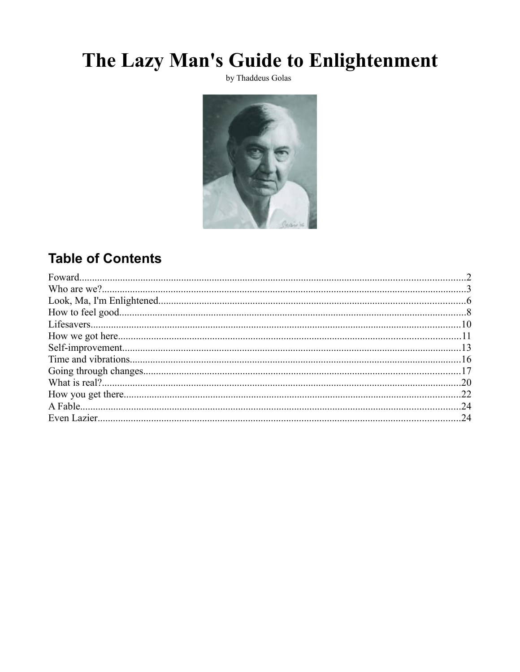# The Lazy Man's Guide to Enlightenment

by Thaddeus Golas



# **Table of Contents**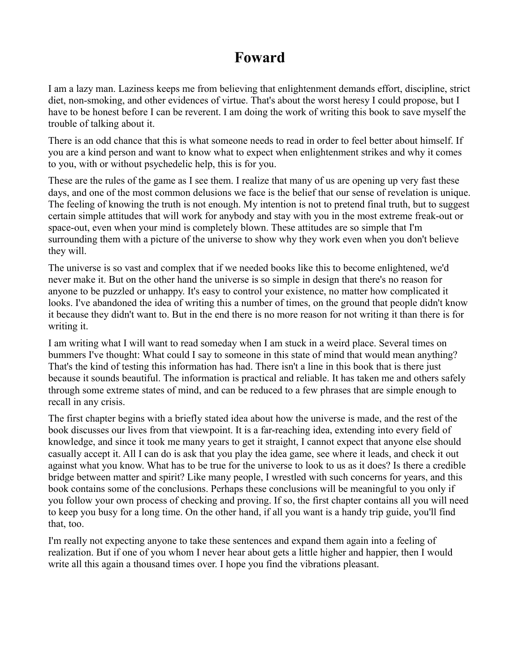## **Foward**

I am a lazy man. Laziness keeps me from believing that enlightenment demands effort, discipline, strict diet, non-smoking, and other evidences of virtue. That's about the worst heresy I could propose, but I have to be honest before I can be reverent. I am doing the work of writing this book to save myself the trouble of talking about it.

There is an odd chance that this is what someone needs to read in order to feel better about himself. If you are a kind person and want to know what to expect when enlightenment strikes and why it comes to you, with or without psychedelic help, this is for you.

These are the rules of the game as I see them. I realize that many of us are opening up very fast these days, and one of the most common delusions we face is the belief that our sense of revelation is unique. The feeling of knowing the truth is not enough. My intention is not to pretend final truth, but to suggest certain simple attitudes that will work for anybody and stay with you in the most extreme freak-out or space-out, even when your mind is completely blown. These attitudes are so simple that I'm surrounding them with a picture of the universe to show why they work even when you don't believe they will.

The universe is so vast and complex that if we needed books like this to become enlightened, we'd never make it. But on the other hand the universe is so simple in design that there's no reason for anyone to be puzzled or unhappy. It's easy to control your existence, no matter how complicated it looks. I've abandoned the idea of writing this a number of times, on the ground that people didn't know it because they didn't want to. But in the end there is no more reason for not writing it than there is for writing it.

I am writing what I will want to read someday when I am stuck in a weird place. Several times on bummers I've thought: What could I say to someone in this state of mind that would mean anything? That's the kind of testing this information has had. There isn't a line in this book that is there just because it sounds beautiful. The information is practical and reliable. It has taken me and others safely through some extreme states of mind, and can be reduced to a few phrases that are simple enough to recall in any crisis.

The first chapter begins with a briefly stated idea about how the universe is made, and the rest of the book discusses our lives from that viewpoint. It is a far-reaching idea, extending into every field of knowledge, and since it took me many years to get it straight, I cannot expect that anyone else should casually accept it. All I can do is ask that you play the idea game, see where it leads, and check it out against what you know. What has to be true for the universe to look to us as it does? Is there a credible bridge between matter and spirit? Like many people, I wrestled with such concerns for years, and this book contains some of the conclusions. Perhaps these conclusions will be meaningful to you only if you follow your own process of checking and proving. If so, the first chapter contains all you will need to keep you busy for a long time. On the other hand, if all you want is a handy trip guide, you'll find that, too.

I'm really not expecting anyone to take these sentences and expand them again into a feeling of realization. But if one of you whom I never hear about gets a little higher and happier, then I would write all this again a thousand times over. I hope you find the vibrations pleasant.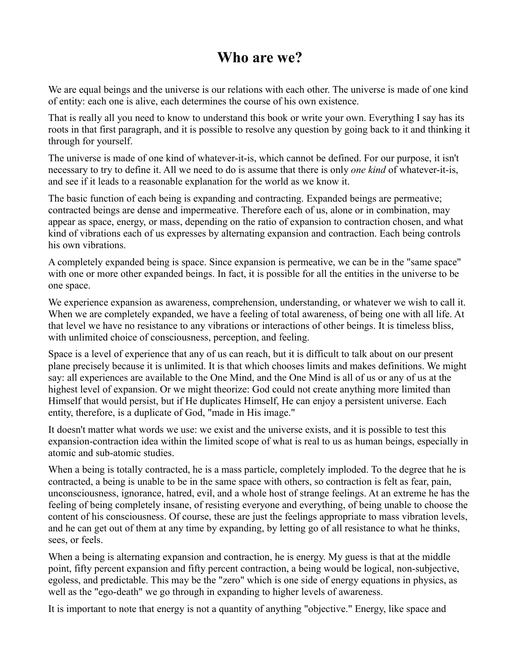# **Who are we?**

We are equal beings and the universe is our relations with each other. The universe is made of one kind of entity: each one is alive, each determines the course of his own existence.

That is really all you need to know to understand this book or write your own. Everything I say has its roots in that first paragraph, and it is possible to resolve any question by going back to it and thinking it through for yourself.

The universe is made of one kind of whatever-it-is, which cannot be defined. For our purpose, it isn't necessary to try to define it. All we need to do is assume that there is only *one kind* of whatever-it-is, and see if it leads to a reasonable explanation for the world as we know it.

The basic function of each being is expanding and contracting. Expanded beings are permeative; contracted beings are dense and impermeative. Therefore each of us, alone or in combination, may appear as space, energy, or mass, depending on the ratio of expansion to contraction chosen, and what kind of vibrations each of us expresses by alternating expansion and contraction. Each being controls his own vibrations.

A completely expanded being is space. Since expansion is permeative, we can be in the "same space" with one or more other expanded beings. In fact, it is possible for all the entities in the universe to be one space.

We experience expansion as awareness, comprehension, understanding, or whatever we wish to call it. When we are completely expanded, we have a feeling of total awareness, of being one with all life. At that level we have no resistance to any vibrations or interactions of other beings. It is timeless bliss, with unlimited choice of consciousness, perception, and feeling.

Space is a level of experience that any of us can reach, but it is difficult to talk about on our present plane precisely because it is unlimited. It is that which chooses limits and makes definitions. We might say: all experiences are available to the One Mind, and the One Mind is all of us or any of us at the highest level of expansion. Or we might theorize: God could not create anything more limited than Himself that would persist, but if He duplicates Himself, He can enjoy a persistent universe. Each entity, therefore, is a duplicate of God, "made in His image."

It doesn't matter what words we use: we exist and the universe exists, and it is possible to test this expansion-contraction idea within the limited scope of what is real to us as human beings, especially in atomic and sub-atomic studies.

When a being is totally contracted, he is a mass particle, completely imploded. To the degree that he is contracted, a being is unable to be in the same space with others, so contraction is felt as fear, pain, unconsciousness, ignorance, hatred, evil, and a whole host of strange feelings. At an extreme he has the feeling of being completely insane, of resisting everyone and everything, of being unable to choose the content of his consciousness. Of course, these are just the feelings appropriate to mass vibration levels, and he can get out of them at any time by expanding, by letting go of all resistance to what he thinks, sees, or feels.

When a being is alternating expansion and contraction, he is energy. My guess is that at the middle point, fifty percent expansion and fifty percent contraction, a being would be logical, non-subjective, egoless, and predictable. This may be the "zero" which is one side of energy equations in physics, as well as the "ego-death" we go through in expanding to higher levels of awareness.

It is important to note that energy is not a quantity of anything "objective." Energy, like space and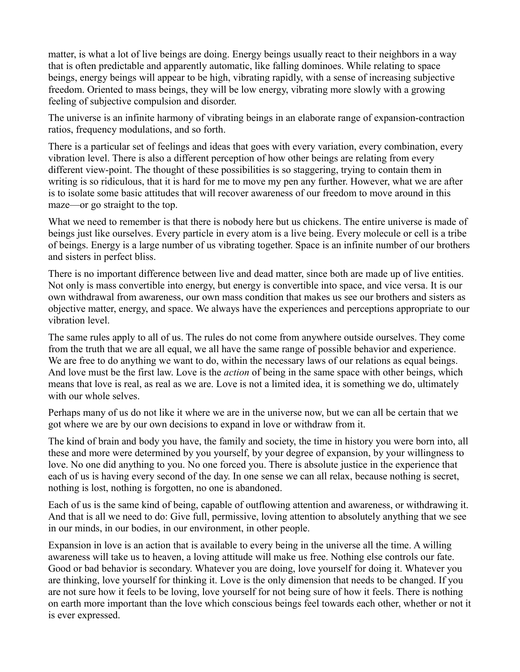matter, is what a lot of live beings are doing. Energy beings usually react to their neighbors in a way that is often predictable and apparently automatic, like falling dominoes. While relating to space beings, energy beings will appear to be high, vibrating rapidly, with a sense of increasing subjective freedom. Oriented to mass beings, they will be low energy, vibrating more slowly with a growing feeling of subjective compulsion and disorder.

The universe is an infinite harmony of vibrating beings in an elaborate range of expansion-contraction ratios, frequency modulations, and so forth.

There is a particular set of feelings and ideas that goes with every variation, every combination, every vibration level. There is also a different perception of how other beings are relating from every different view-point. The thought of these possibilities is so staggering, trying to contain them in writing is so ridiculous, that it is hard for me to move my pen any further. However, what we are after is to isolate some basic attitudes that will recover awareness of our freedom to move around in this maze—or go straight to the top.

What we need to remember is that there is nobody here but us chickens. The entire universe is made of beings just like ourselves. Every particle in every atom is a live being. Every molecule or cell is a tribe of beings. Energy is a large number of us vibrating together. Space is an infinite number of our brothers and sisters in perfect bliss.

There is no important difference between live and dead matter, since both are made up of live entities. Not only is mass convertible into energy, but energy is convertible into space, and vice versa. It is our own withdrawal from awareness, our own mass condition that makes us see our brothers and sisters as objective matter, energy, and space. We always have the experiences and perceptions appropriate to our vibration level.

The same rules apply to all of us. The rules do not come from anywhere outside ourselves. They come from the truth that we are all equal, we all have the same range of possible behavior and experience. We are free to do anything we want to do, within the necessary laws of our relations as equal beings. And love must be the first law. Love is the *action* of being in the same space with other beings, which means that love is real, as real as we are. Love is not a limited idea, it is something we do, ultimately with our whole selves.

Perhaps many of us do not like it where we are in the universe now, but we can all be certain that we got where we are by our own decisions to expand in love or withdraw from it.

The kind of brain and body you have, the family and society, the time in history you were born into, all these and more were determined by you yourself, by your degree of expansion, by your willingness to love. No one did anything to you. No one forced you. There is absolute justice in the experience that each of us is having every second of the day. In one sense we can all relax, because nothing is secret, nothing is lost, nothing is forgotten, no one is abandoned.

Each of us is the same kind of being, capable of outflowing attention and awareness, or withdrawing it. And that is all we need to do: Give full, permissive, loving attention to absolutely anything that we see in our minds, in our bodies, in our environment, in other people.

Expansion in love is an action that is available to every being in the universe all the time. A willing awareness will take us to heaven, a loving attitude will make us free. Nothing else controls our fate. Good or bad behavior is secondary. Whatever you are doing, love yourself for doing it. Whatever you are thinking, love yourself for thinking it. Love is the only dimension that needs to be changed. If you are not sure how it feels to be loving, love yourself for not being sure of how it feels. There is nothing on earth more important than the love which conscious beings feel towards each other, whether or not it is ever expressed.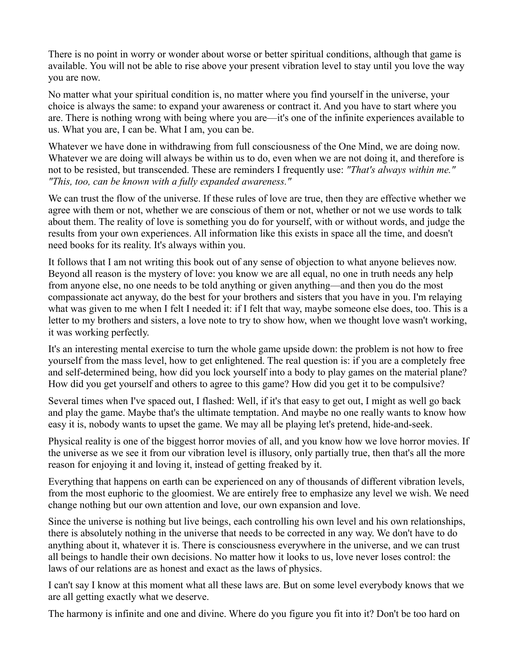There is no point in worry or wonder about worse or better spiritual conditions, although that game is available. You will not be able to rise above your present vibration level to stay until you love the way you are now.

No matter what your spiritual condition is, no matter where you find yourself in the universe, your choice is always the same: to expand your awareness or contract it. And you have to start where you are. There is nothing wrong with being where you are—it's one of the infinite experiences available to us. What you are, I can be. What I am, you can be.

Whatever we have done in withdrawing from full consciousness of the One Mind, we are doing now. Whatever we are doing will always be within us to do, even when we are not doing it, and therefore is not to be resisted, but transcended. These are reminders I frequently use: *"That's always within me." "This, too, can be known with a fully expanded awareness."*

We can trust the flow of the universe. If these rules of love are true, then they are effective whether we agree with them or not, whether we are conscious of them or not, whether or not we use words to talk about them. The reality of love is something you do for yourself, with or without words, and judge the results from your own experiences. All information like this exists in space all the time, and doesn't need books for its reality. It's always within you.

It follows that I am not writing this book out of any sense of objection to what anyone believes now. Beyond all reason is the mystery of love: you know we are all equal, no one in truth needs any help from anyone else, no one needs to be told anything or given anything—and then you do the most compassionate act anyway, do the best for your brothers and sisters that you have in you. I'm relaying what was given to me when I felt I needed it: if I felt that way, maybe someone else does, too. This is a letter to my brothers and sisters, a love note to try to show how, when we thought love wasn't working, it was working perfectly.

It's an interesting mental exercise to turn the whole game upside down: the problem is not how to free yourself from the mass level, how to get enlightened. The real question is: if you are a completely free and self-determined being, how did you lock yourself into a body to play games on the material plane? How did you get yourself and others to agree to this game? How did you get it to be compulsive?

Several times when I've spaced out, I flashed: Well, if it's that easy to get out, I might as well go back and play the game. Maybe that's the ultimate temptation. And maybe no one really wants to know how easy it is, nobody wants to upset the game. We may all be playing let's pretend, hide-and-seek.

Physical reality is one of the biggest horror movies of all, and you know how we love horror movies. If the universe as we see it from our vibration level is illusory, only partially true, then that's all the more reason for enjoying it and loving it, instead of getting freaked by it.

Everything that happens on earth can be experienced on any of thousands of different vibration levels, from the most euphoric to the gloomiest. We are entirely free to emphasize any level we wish. We need change nothing but our own attention and love, our own expansion and love.

Since the universe is nothing but live beings, each controlling his own level and his own relationships, there is absolutely nothing in the universe that needs to be corrected in any way. We don't have to do anything about it, whatever it is. There is consciousness everywhere in the universe, and we can trust all beings to handle their own decisions. No matter how it looks to us, love never loses control: the laws of our relations are as honest and exact as the laws of physics.

I can't say I know at this moment what all these laws are. But on some level everybody knows that we are all getting exactly what we deserve.

The harmony is infinite and one and divine. Where do you figure you fit into it? Don't be too hard on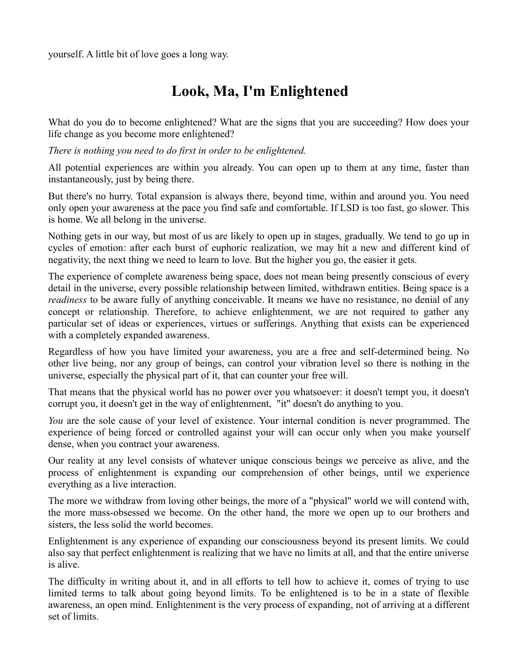yourself. A little bit of love goes a long way.

# **Look, Ma, I'm Enlightened**

What do you do to become enlightened? What are the signs that you are succeeding? How does your life change as you become more enlightened?

*There is nothing you need to do first in order to be enlightened.*

All potential experiences are within you already. You can open up to them at any time, faster than instantaneously, just by being there.

But there's no hurry. Total expansion is always there, beyond time, within and around you. You need only open your awareness at the pace you find safe and comfortable. If LSD is too fast, go slower. This is home. We all belong in the universe.

Nothing gets in our way, but most of us are likely to open up in stages, gradually. We tend to go up in cycles of emotion: after each burst of euphoric realization, we may hit a new and different kind of negativity, the next thing we need to learn to love. But the higher you go, the easier it gets.

The experience of complete awareness being space, does not mean being presently conscious of every detail in the universe, every possible relationship between limited, withdrawn entities. Being space is a *readiness* to be aware fully of anything conceivable. It means we have no resistance, no denial of any concept or relationship. Therefore, to achieve enlightenment, we are not required to gather any particular set of ideas or experiences, virtues or sufferings. Anything that exists can be experienced with a completely expanded awareness.

Regardless of how you have limited your awareness, you are a free and self-determined being. No other live being, nor any group of beings, can control your vibration level so there is nothing in the universe, especially the physical part of it, that can counter your free will.

That means that the physical world has no power over you whatsoever: it doesn't tempt you, it doesn't corrupt you, it doesn't get in the way of enlightenment, "it" doesn't do anything to you.

*You* are the sole cause of your level of existence. Your internal condition is never programmed. The experience of being forced or controlled against your will can occur only when you make yourself dense, when you contract your awareness.

Our reality at any level consists of whatever unique conscious beings we perceive as alive, and the process of enlightenment is expanding our comprehension of other beings, until we experience everything as a live interaction.

The more we withdraw from loving other beings, the more of a "physical" world we will contend with, the more mass-obsessed we become. On the other hand, the more we open up to our brothers and sisters, the less solid the world becomes.

Enlightenment is any experience of expanding our consciousness beyond its present limits. We could also say that perfect enlightenment is realizing that we have no limits at all, and that the entire universe is alive.

The difficulty in writing about it, and in all efforts to tell how to achieve it, comes of trying to use limited terms to talk about going beyond limits. To be enlightened is to be in a state of flexible awareness, an open mind. Enlightenment is the very process of expanding, not of arriving at a different set of limits.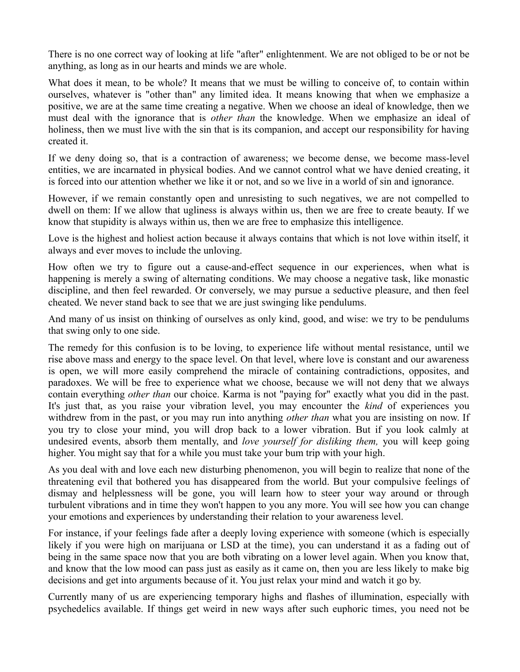There is no one correct way of looking at life "after" enlightenment. We are not obliged to be or not be anything, as long as in our hearts and minds we are whole.

What does it mean, to be whole? It means that we must be willing to conceive of, to contain within ourselves, whatever is "other than" any limited idea. It means knowing that when we emphasize a positive, we are at the same time creating a negative. When we choose an ideal of knowledge, then we must deal with the ignorance that is *other than* the knowledge. When we emphasize an ideal of holiness, then we must live with the sin that is its companion, and accept our responsibility for having created it.

If we deny doing so, that is a contraction of awareness; we become dense, we become mass-level entities, we are incarnated in physical bodies. And we cannot control what we have denied creating, it is forced into our attention whether we like it or not, and so we live in a world of sin and ignorance.

However, if we remain constantly open and unresisting to such negatives, we are not compelled to dwell on them: If we allow that ugliness is always within us, then we are free to create beauty. If we know that stupidity is always within us, then we are free to emphasize this intelligence.

Love is the highest and holiest action because it always contains that which is not love within itself, it always and ever moves to include the unloving.

How often we try to figure out a cause-and-effect sequence in our experiences, when what is happening is merely a swing of alternating conditions. We may choose a negative task, like monastic discipline, and then feel rewarded. Or conversely, we may pursue a seductive pleasure, and then feel cheated. We never stand back to see that we are just swinging like pendulums.

And many of us insist on thinking of ourselves as only kind, good, and wise: we try to be pendulums that swing only to one side.

The remedy for this confusion is to be loving, to experience life without mental resistance, until we rise above mass and energy to the space level. On that level, where love is constant and our awareness is open, we will more easily comprehend the miracle of containing contradictions, opposites, and paradoxes. We will be free to experience what we choose, because we will not deny that we always contain everything *other than* our choice. Karma is not "paying for" exactly what you did in the past. It's just that, as you raise your vibration level, you may encounter the *kind* of experiences you withdrew from in the past, or you may run into anything *other than* what you are insisting on now. If you try to close your mind, you will drop back to a lower vibration. But if you look calmly at undesired events, absorb them mentally, and *love yourself for disliking them,* you will keep going higher. You might say that for a while you must take your bum trip with your high.

As you deal with and love each new disturbing phenomenon, you will begin to realize that none of the threatening evil that bothered you has disappeared from the world. But your compulsive feelings of dismay and helplessness will be gone, you will learn how to steer your way around or through turbulent vibrations and in time they won't happen to you any more. You will see how you can change your emotions and experiences by understanding their relation to your awareness level.

For instance, if your feelings fade after a deeply loving experience with someone (which is especially likely if you were high on marijuana or LSD at the time), you can understand it as a fading out of being in the same space now that you are both vibrating on a lower level again. When you know that, and know that the low mood can pass just as easily as it came on, then you are less likely to make big decisions and get into arguments because of it. You just relax your mind and watch it go by.

Currently many of us are experiencing temporary highs and flashes of illumination, especially with psychedelics available. If things get weird in new ways after such euphoric times, you need not be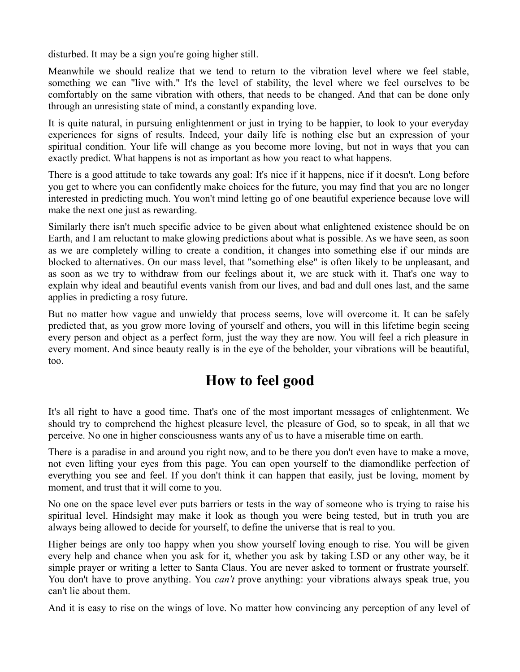disturbed. It may be a sign you're going higher still.

Meanwhile we should realize that we tend to return to the vibration level where we feel stable, something we can "live with." It's the level of stability, the level where we feel ourselves to be comfortably on the same vibration with others, that needs to be changed. And that can be done only through an unresisting state of mind, a constantly expanding love.

It is quite natural, in pursuing enlightenment or just in trying to be happier, to look to your everyday experiences for signs of results. Indeed, your daily life is nothing else but an expression of your spiritual condition. Your life will change as you become more loving, but not in ways that you can exactly predict. What happens is not as important as how you react to what happens.

There is a good attitude to take towards any goal: It's nice if it happens, nice if it doesn't. Long before you get to where you can confidently make choices for the future, you may find that you are no longer interested in predicting much. You won't mind letting go of one beautiful experience because love will make the next one just as rewarding.

Similarly there isn't much specific advice to be given about what enlightened existence should be on Earth, and I am reluctant to make glowing predictions about what is possible. As we have seen, as soon as we are completely willing to create a condition, it changes into something else if our minds are blocked to alternatives. On our mass level, that "something else" is often likely to be unpleasant, and as soon as we try to withdraw from our feelings about it, we are stuck with it. That's one way to explain why ideal and beautiful events vanish from our lives, and bad and dull ones last, and the same applies in predicting a rosy future.

But no matter how vague and unwieldy that process seems, love will overcome it. It can be safely predicted that, as you grow more loving of yourself and others, you will in this lifetime begin seeing every person and object as a perfect form, just the way they are now. You will feel a rich pleasure in every moment. And since beauty really is in the eye of the beholder, your vibrations will be beautiful, too.

# **How to feel good**

It's all right to have a good time. That's one of the most important messages of enlightenment. We should try to comprehend the highest pleasure level, the pleasure of God, so to speak, in all that we perceive. No one in higher consciousness wants any of us to have a miserable time on earth.

There is a paradise in and around you right now, and to be there you don't even have to make a move, not even lifting your eyes from this page. You can open yourself to the diamondlike perfection of everything you see and feel. If you don't think it can happen that easily, just be loving, moment by moment, and trust that it will come to you.

No one on the space level ever puts barriers or tests in the way of someone who is trying to raise his spiritual level. Hindsight may make it look as though you were being tested, but in truth you are always being allowed to decide for yourself, to define the universe that is real to you.

Higher beings are only too happy when you show yourself loving enough to rise. You will be given every help and chance when you ask for it, whether you ask by taking LSD or any other way, be it simple prayer or writing a letter to Santa Claus. You are never asked to torment or frustrate yourself. You don't have to prove anything. You *can't* prove anything: your vibrations always speak true, you can't lie about them.

And it is easy to rise on the wings of love. No matter how convincing any perception of any level of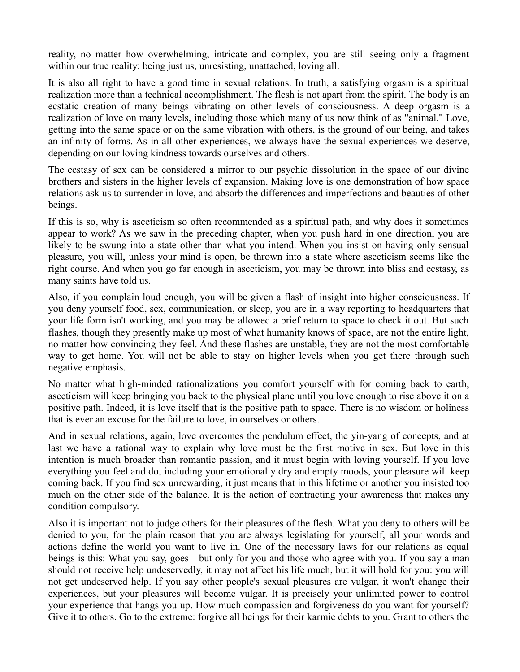reality, no matter how overwhelming, intricate and complex, you are still seeing only a fragment within our true reality: being just us, unresisting, unattached, loving all.

It is also all right to have a good time in sexual relations. In truth, a satisfying orgasm is a spiritual realization more than a technical accomplishment. The flesh is not apart from the spirit. The body is an ecstatic creation of many beings vibrating on other levels of consciousness. A deep orgasm is a realization of love on many levels, including those which many of us now think of as "animal." Love, getting into the same space or on the same vibration with others, is the ground of our being, and takes an infinity of forms. As in all other experiences, we always have the sexual experiences we deserve, depending on our loving kindness towards ourselves and others.

The ecstasy of sex can be considered a mirror to our psychic dissolution in the space of our divine brothers and sisters in the higher levels of expansion. Making love is one demonstration of how space relations ask us to surrender in love, and absorb the differences and imperfections and beauties of other beings.

If this is so, why is asceticism so often recommended as a spiritual path, and why does it sometimes appear to work? As we saw in the preceding chapter, when you push hard in one direction, you are likely to be swung into a state other than what you intend. When you insist on having only sensual pleasure, you will, unless your mind is open, be thrown into a state where asceticism seems like the right course. And when you go far enough in asceticism, you may be thrown into bliss and ecstasy, as many saints have told us.

Also, if you complain loud enough, you will be given a flash of insight into higher consciousness. If you deny yourself food, sex, communication, or sleep, you are in a way reporting to headquarters that your life form isn't working, and you may be allowed a brief return to space to check it out. But such flashes, though they presently make up most of what humanity knows of space, are not the entire light, no matter how convincing they feel. And these flashes are unstable, they are not the most comfortable way to get home. You will not be able to stay on higher levels when you get there through such negative emphasis.

No matter what high-minded rationalizations you comfort yourself with for coming back to earth, asceticism will keep bringing you back to the physical plane until you love enough to rise above it on a positive path. Indeed, it is love itself that is the positive path to space. There is no wisdom or holiness that is ever an excuse for the failure to love, in ourselves or others.

And in sexual relations, again, love overcomes the pendulum effect, the yin-yang of concepts, and at last we have a rational way to explain why love must be the first motive in sex. But love in this intention is much broader than romantic passion, and it must begin with loving yourself. If you love everything you feel and do, including your emotionally dry and empty moods, your pleasure will keep coming back. If you find sex unrewarding, it just means that in this lifetime or another you insisted too much on the other side of the balance. It is the action of contracting your awareness that makes any condition compulsory.

Also it is important not to judge others for their pleasures of the flesh. What you deny to others will be denied to you, for the plain reason that you are always legislating for yourself, all your words and actions define the world you want to live in. One of the necessary laws for our relations as equal beings is this: What you say, goes—but only for you and those who agree with you. If you say a man should not receive help undeservedly, it may not affect his life much, but it will hold for you: you will not get undeserved help. If you say other people's sexual pleasures are vulgar, it won't change their experiences, but your pleasures will become vulgar. It is precisely your unlimited power to control your experience that hangs you up. How much compassion and forgiveness do you want for yourself? Give it to others. Go to the extreme: forgive all beings for their karmic debts to you. Grant to others the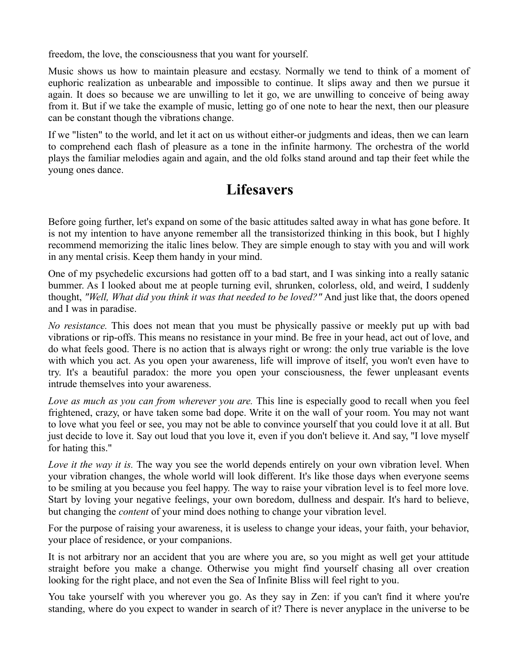freedom, the love, the consciousness that you want for yourself.

Music shows us how to maintain pleasure and ecstasy. Normally we tend to think of a moment of euphoric realization as unbearable and impossible to continue. It slips away and then we pursue it again. It does so because we are unwilling to let it go, we are unwilling to conceive of being away from it. But if we take the example of music, letting go of one note to hear the next, then our pleasure can be constant though the vibrations change.

If we "listen" to the world, and let it act on us without either-or judgments and ideas, then we can learn to comprehend each flash of pleasure as a tone in the infinite harmony. The orchestra of the world plays the familiar melodies again and again, and the old folks stand around and tap their feet while the young ones dance.

### **Lifesavers**

Before going further, let's expand on some of the basic attitudes salted away in what has gone before. It is not my intention to have anyone remember all the transistorized thinking in this book, but I highly recommend memorizing the italic lines below. They are simple enough to stay with you and will work in any mental crisis. Keep them handy in your mind.

One of my psychedelic excursions had gotten off to a bad start, and I was sinking into a really satanic bummer. As I looked about me at people turning evil, shrunken, colorless, old, and weird, I suddenly thought, *"Well, What did you think it was that needed to be loved?"* And just like that, the doors opened and I was in paradise.

*No resistance.* This does not mean that you must be physically passive or meekly put up with bad vibrations or rip-offs. This means no resistance in your mind. Be free in your head, act out of love, and do what feels good. There is no action that is always right or wrong: the only true variable is the love with which you act. As you open your awareness, life will improve of itself, you won't even have to try. It's a beautiful paradox: the more you open your consciousness, the fewer unpleasant events intrude themselves into your awareness.

*Love as much as you can from wherever you are.* This line is especially good to recall when you feel frightened, crazy, or have taken some bad dope. Write it on the wall of your room. You may not want to love what you feel or see, you may not be able to convince yourself that you could love it at all. But just decide to love it. Say out loud that you love it, even if you don't believe it. And say, "I love myself for hating this."

*Love it the way it is.* The way you see the world depends entirely on your own vibration level. When your vibration changes, the whole world will look different. It's like those days when everyone seems to be smiling at you because you feel happy. The way to raise your vibration level is to feel more love. Start by loving your negative feelings, your own boredom, dullness and despair. It's hard to believe, but changing the *content* of your mind does nothing to change your vibration level.

For the purpose of raising your awareness, it is useless to change your ideas, your faith, your behavior, your place of residence, or your companions.

It is not arbitrary nor an accident that you are where you are, so you might as well get your attitude straight before you make a change. Otherwise you might find yourself chasing all over creation looking for the right place, and not even the Sea of Infinite Bliss will feel right to you.

You take yourself with you wherever you go. As they say in Zen: if you can't find it where you're standing, where do you expect to wander in search of it? There is never anyplace in the universe to be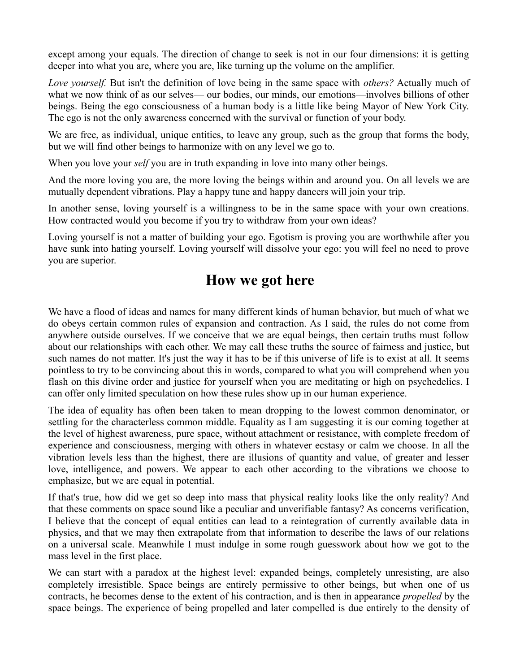except among your equals. The direction of change to seek is not in our four dimensions: it is getting deeper into what you are, where you are, like turning up the volume on the amplifier.

*Love yourself.* But isn't the definition of love being in the same space with *others?* Actually much of what we now think of as our selves— our bodies, our minds, our emotions—involves billions of other beings. Being the ego consciousness of a human body is a little like being Mayor of New York City. The ego is not the only awareness concerned with the survival or function of your body.

We are free, as individual, unique entities, to leave any group, such as the group that forms the body, but we will find other beings to harmonize with on any level we go to.

When you love your *self* you are in truth expanding in love into many other beings.

And the more loving you are, the more loving the beings within and around you. On all levels we are mutually dependent vibrations. Play a happy tune and happy dancers will join your trip.

In another sense, loving yourself is a willingness to be in the same space with your own creations. How contracted would you become if you try to withdraw from your own ideas?

Loving yourself is not a matter of building your ego. Egotism is proving you are worthwhile after you have sunk into hating yourself. Loving yourself will dissolve your ego: you will feel no need to prove you are superior.

### **How we got here**

We have a flood of ideas and names for many different kinds of human behavior, but much of what we do obeys certain common rules of expansion and contraction. As I said, the rules do not come from anywhere outside ourselves. If we conceive that we are equal beings, then certain truths must follow about our relationships with each other. We may call these truths the source of fairness and justice, but such names do not matter. It's just the way it has to be if this universe of life is to exist at all. It seems pointless to try to be convincing about this in words, compared to what you will comprehend when you flash on this divine order and justice for yourself when you are meditating or high on psychedelics. I can offer only limited speculation on how these rules show up in our human experience.

The idea of equality has often been taken to mean dropping to the lowest common denominator, or settling for the characterless common middle. Equality as I am suggesting it is our coming together at the level of highest awareness, pure space, without attachment or resistance, with complete freedom of experience and consciousness, merging with others in whatever ecstasy or calm we choose. In all the vibration levels less than the highest, there are illusions of quantity and value, of greater and lesser love, intelligence, and powers. We appear to each other according to the vibrations we choose to emphasize, but we are equal in potential.

If that's true, how did we get so deep into mass that physical reality looks like the only reality? And that these comments on space sound like a peculiar and unverifiable fantasy? As concerns verification, I believe that the concept of equal entities can lead to a reintegration of currently available data in physics, and that we may then extrapolate from that information to describe the laws of our relations on a universal scale. Meanwhile I must indulge in some rough guesswork about how we got to the mass level in the first place.

We can start with a paradox at the highest level: expanded beings, completely unresisting, are also completely irresistible. Space beings are entirely permissive to other beings, but when one of us contracts, he becomes dense to the extent of his contraction, and is then in appearance *propelled* by the space beings. The experience of being propelled and later compelled is due entirely to the density of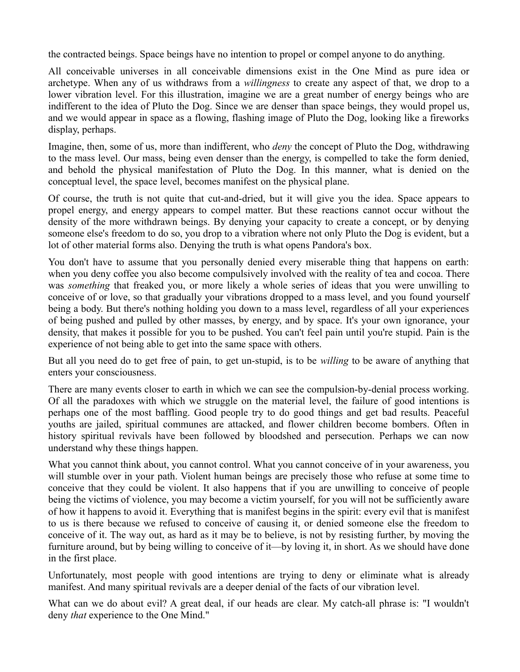the contracted beings. Space beings have no intention to propel or compel anyone to do anything.

All conceivable universes in all conceivable dimensions exist in the One Mind as pure idea or archetype. When any of us withdraws from a *willingness* to create any aspect of that, we drop to a lower vibration level. For this illustration, imagine we are a great number of energy beings who are indifferent to the idea of Pluto the Dog. Since we are denser than space beings, they would propel us, and we would appear in space as a flowing, flashing image of Pluto the Dog, looking like a fireworks display, perhaps.

Imagine, then, some of us, more than indifferent, who *deny* the concept of Pluto the Dog, withdrawing to the mass level. Our mass, being even denser than the energy, is compelled to take the form denied, and behold the physical manifestation of Pluto the Dog. In this manner, what is denied on the conceptual level, the space level, becomes manifest on the physical plane.

Of course, the truth is not quite that cut-and-dried, but it will give you the idea. Space appears to propel energy, and energy appears to compel matter. But these reactions cannot occur without the density of the more withdrawn beings. By denying your capacity to create a concept, or by denying someone else's freedom to do so, you drop to a vibration where not only Pluto the Dog is evident, but a lot of other material forms also. Denying the truth is what opens Pandora's box.

You don't have to assume that you personally denied every miserable thing that happens on earth: when you deny coffee you also become compulsively involved with the reality of tea and cocoa. There was *something* that freaked you, or more likely a whole series of ideas that you were unwilling to conceive of or love, so that gradually your vibrations dropped to a mass level, and you found yourself being a body. But there's nothing holding you down to a mass level, regardless of all your experiences of being pushed and pulled by other masses, by energy, and by space. It's your own ignorance, your density, that makes it possible for you to be pushed. You can't feel pain until you're stupid. Pain is the experience of not being able to get into the same space with others.

But all you need do to get free of pain, to get un-stupid, is to be *willing* to be aware of anything that enters your consciousness.

There are many events closer to earth in which we can see the compulsion-by-denial process working. Of all the paradoxes with which we struggle on the material level, the failure of good intentions is perhaps one of the most baffling. Good people try to do good things and get bad results. Peaceful youths are jailed, spiritual communes are attacked, and flower children become bombers. Often in history spiritual revivals have been followed by bloodshed and persecution. Perhaps we can now understand why these things happen.

What you cannot think about, you cannot control. What you cannot conceive of in your awareness, you will stumble over in your path. Violent human beings are precisely those who refuse at some time to conceive that they could be violent. It also happens that if you are unwilling to conceive of people being the victims of violence, you may become a victim yourself, for you will not be sufficiently aware of how it happens to avoid it. Everything that is manifest begins in the spirit: every evil that is manifest to us is there because we refused to conceive of causing it, or denied someone else the freedom to conceive of it. The way out, as hard as it may be to believe, is not by resisting further, by moving the furniture around, but by being willing to conceive of it—by loving it, in short. As we should have done in the first place.

Unfortunately, most people with good intentions are trying to deny or eliminate what is already manifest. And many spiritual revivals are a deeper denial of the facts of our vibration level.

What can we do about evil? A great deal, if our heads are clear. My catch-all phrase is: "I wouldn't deny *that* experience to the One Mind."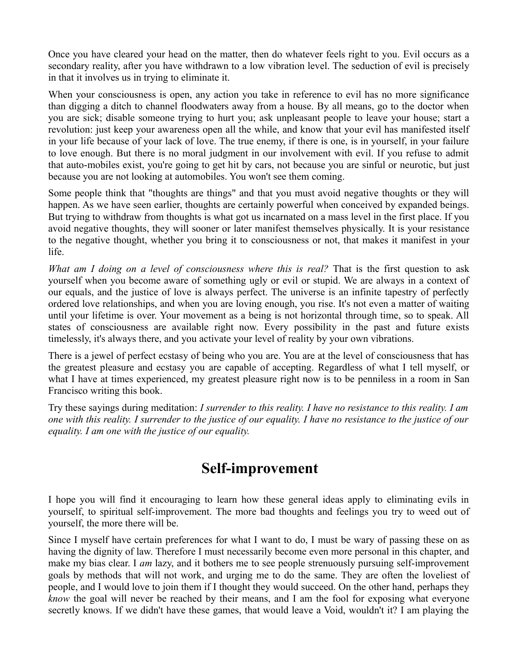Once you have cleared your head on the matter, then do whatever feels right to you. Evil occurs as a secondary reality, after you have withdrawn to a low vibration level. The seduction of evil is precisely in that it involves us in trying to eliminate it.

When your consciousness is open, any action you take in reference to evil has no more significance than digging a ditch to channel floodwaters away from a house. By all means, go to the doctor when you are sick; disable someone trying to hurt you; ask unpleasant people to leave your house; start a revolution: just keep your awareness open all the while, and know that your evil has manifested itself in your life because of your lack of love. The true enemy, if there is one, is in yourself, in your failure to love enough. But there is no moral judgment in our involvement with evil. If you refuse to admit that auto-mobiles exist, you're going to get hit by cars, not because you are sinful or neurotic, but just because you are not looking at automobiles. You won't see them coming.

Some people think that "thoughts are things" and that you must avoid negative thoughts or they will happen. As we have seen earlier, thoughts are certainly powerful when conceived by expanded beings. But trying to withdraw from thoughts is what got us incarnated on a mass level in the first place. If you avoid negative thoughts, they will sooner or later manifest themselves physically. It is your resistance to the negative thought, whether you bring it to consciousness or not, that makes it manifest in your life.

*What am I doing on a level of consciousness where this is real?* That is the first question to ask yourself when you become aware of something ugly or evil or stupid. We are always in a context of our equals, and the justice of love is always perfect. The universe is an infinite tapestry of perfectly ordered love relationships, and when you are loving enough, you rise. It's not even a matter of waiting until your lifetime is over. Your movement as a being is not horizontal through time, so to speak. All states of consciousness are available right now. Every possibility in the past and future exists timelessly, it's always there, and you activate your level of reality by your own vibrations.

There is a jewel of perfect ecstasy of being who you are. You are at the level of consciousness that has the greatest pleasure and ecstasy you are capable of accepting. Regardless of what I tell myself, or what I have at times experienced, my greatest pleasure right now is to be penniless in a room in San Francisco writing this book.

Try these sayings during meditation: *I surrender to this reality. I have no resistance to this reality. I am one with this reality. I surrender to the justice of our equality. I have no resistance to the justice of our equality. I am one with the justice of our equality.*

#### **Self-improvement**

I hope you will find it encouraging to learn how these general ideas apply to eliminating evils in yourself, to spiritual self-improvement. The more bad thoughts and feelings you try to weed out of yourself, the more there will be.

Since I myself have certain preferences for what I want to do, I must be wary of passing these on as having the dignity of law. Therefore I must necessarily become even more personal in this chapter, and make my bias clear. I *am* lazy, and it bothers me to see people strenuously pursuing self-improvement goals by methods that will not work, and urging me to do the same. They are often the loveliest of people, and I would love to join them if I thought they would succeed. On the other hand, perhaps they *know* the goal will never be reached by their means, and I am the fool for exposing what everyone secretly knows. If we didn't have these games, that would leave a Void, wouldn't it? I am playing the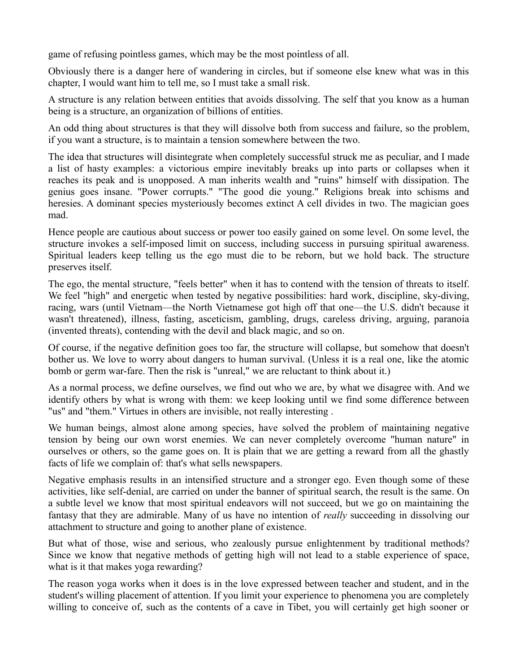game of refusing pointless games, which may be the most pointless of all.

Obviously there is a danger here of wandering in circles, but if someone else knew what was in this chapter, I would want him to tell me, so I must take a small risk.

A structure is any relation between entities that avoids dissolving. The self that you know as a human being is a structure, an organization of billions of entities.

An odd thing about structures is that they will dissolve both from success and failure, so the problem, if you want a structure, is to maintain a tension somewhere between the two.

The idea that structures will disintegrate when completely successful struck me as peculiar, and I made a list of hasty examples: a victorious empire inevitably breaks up into parts or collapses when it reaches its peak and is unopposed. A man inherits wealth and "ruins" himself with dissipation. The genius goes insane. "Power corrupts." "The good die young." Religions break into schisms and heresies. A dominant species mysteriously becomes extinct A cell divides in two. The magician goes mad.

Hence people are cautious about success or power too easily gained on some level. On some level, the structure invokes a self-imposed limit on success, including success in pursuing spiritual awareness. Spiritual leaders keep telling us the ego must die to be reborn, but we hold back. The structure preserves itself.

The ego, the mental structure, "feels better" when it has to contend with the tension of threats to itself. We feel "high" and energetic when tested by negative possibilities: hard work, discipline, sky-diving, racing, wars (until Vietnam—the North Vietnamese got high off that one—the U.S. didn't because it wasn't threatened), illness, fasting, asceticism, gambling, drugs, careless driving, arguing, paranoia (invented threats), contending with the devil and black magic, and so on.

Of course, if the negative definition goes too far, the structure will collapse, but somehow that doesn't bother us. We love to worry about dangers to human survival. (Unless it is a real one, like the atomic bomb or germ war-fare. Then the risk is "unreal," we are reluctant to think about it.)

As a normal process, we define ourselves, we find out who we are, by what we disagree with. And we identify others by what is wrong with them: we keep looking until we find some difference between "us" and "them." Virtues in others are invisible, not really interesting .

We human beings, almost alone among species, have solved the problem of maintaining negative tension by being our own worst enemies. We can never completely overcome "human nature" in ourselves or others, so the game goes on. It is plain that we are getting a reward from all the ghastly facts of life we complain of: that's what sells newspapers.

Negative emphasis results in an intensified structure and a stronger ego. Even though some of these activities, like self-denial, are carried on under the banner of spiritual search, the result is the same. On a subtle level we know that most spiritual endeavors will not succeed, but we go on maintaining the fantasy that they are admirable. Many of us have no intention of *really* succeeding in dissolving our attachment to structure and going to another plane of existence.

But what of those, wise and serious, who zealously pursue enlightenment by traditional methods? Since we know that negative methods of getting high will not lead to a stable experience of space, what is it that makes yoga rewarding?

The reason yoga works when it does is in the love expressed between teacher and student, and in the student's willing placement of attention. If you limit your experience to phenomena you are completely willing to conceive of, such as the contents of a cave in Tibet, you will certainly get high sooner or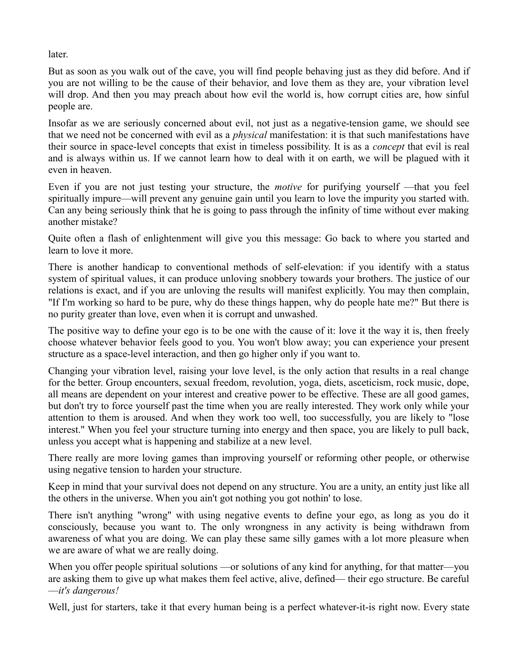later.

But as soon as you walk out of the cave, you will find people behaving just as they did before. And if you are not willing to be the cause of their behavior, and love them as they are, your vibration level will drop. And then you may preach about how evil the world is, how corrupt cities are, how sinful people are.

Insofar as we are seriously concerned about evil, not just as a negative-tension game, we should see that we need not be concerned with evil as a *physical* manifestation: it is that such manifestations have their source in space-level concepts that exist in timeless possibility. It is as a *concept* that evil is real and is always within us. If we cannot learn how to deal with it on earth, we will be plagued with it even in heaven.

Even if you are not just testing your structure, the *motive* for purifying yourself —that you feel spiritually impure—will prevent any genuine gain until you learn to love the impurity you started with. Can any being seriously think that he is going to pass through the infinity of time without ever making another mistake?

Quite often a flash of enlightenment will give you this message: Go back to where you started and learn to love it more.

There is another handicap to conventional methods of self-elevation: if you identify with a status system of spiritual values, it can produce unloving snobbery towards your brothers. The justice of our relations is exact, and if you are unloving the results will manifest explicitly. You may then complain, "If I'm working so hard to be pure, why do these things happen, why do people hate me?" But there is no purity greater than love, even when it is corrupt and unwashed.

The positive way to define your ego is to be one with the cause of it: love it the way it is, then freely choose whatever behavior feels good to you. You won't blow away; you can experience your present structure as a space-level interaction, and then go higher only if you want to.

Changing your vibration level, raising your love level, is the only action that results in a real change for the better. Group encounters, sexual freedom, revolution, yoga, diets, asceticism, rock music, dope, all means are dependent on your interest and creative power to be effective. These are all good games, but don't try to force yourself past the time when you are really interested. They work only while your attention to them is aroused. And when they work too well, too successfully, you are likely to "lose interest." When you feel your structure turning into energy and then space, you are likely to pull back, unless you accept what is happening and stabilize at a new level.

There really are more loving games than improving yourself or reforming other people, or otherwise using negative tension to harden your structure.

Keep in mind that your survival does not depend on any structure. You are a unity, an entity just like all the others in the universe. When you ain't got nothing you got nothin' to lose.

There isn't anything "wrong" with using negative events to define your ego, as long as you do it consciously, because you want to. The only wrongness in any activity is being withdrawn from awareness of what you are doing. We can play these same silly games with a lot more pleasure when we are aware of what we are really doing.

When you offer people spiritual solutions —or solutions of any kind for anything, for that matter—you are asking them to give up what makes them feel active, alive, defined— their ego structure. Be careful —*it's dangerous!*

Well, just for starters, take it that every human being is a perfect whatever-it-is right now. Every state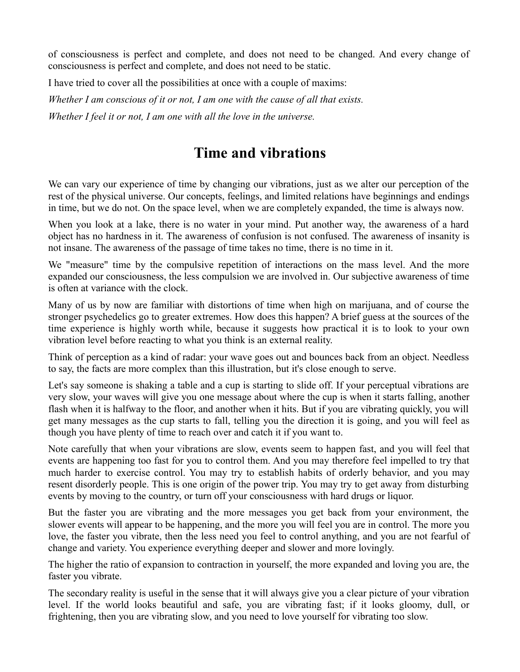of consciousness is perfect and complete, and does not need to be changed. And every change of consciousness is perfect and complete, and does not need to be static.

I have tried to cover all the possibilities at once with a couple of maxims:

*Whether I am conscious of it or not, I am one with the cause of all that exists. Whether I feel it or not, I am one with all the love in the universe.*

## **Time and vibrations**

We can vary our experience of time by changing our vibrations, just as we alter our perception of the rest of the physical universe. Our concepts, feelings, and limited relations have beginnings and endings in time, but we do not. On the space level, when we are completely expanded, the time is always now.

When you look at a lake, there is no water in your mind. Put another way, the awareness of a hard object has no hardness in it. The awareness of confusion is not confused. The awareness of insanity is not insane. The awareness of the passage of time takes no time, there is no time in it.

We "measure" time by the compulsive repetition of interactions on the mass level. And the more expanded our consciousness, the less compulsion we are involved in. Our subjective awareness of time is often at variance with the clock.

Many of us by now are familiar with distortions of time when high on marijuana, and of course the stronger psychedelics go to greater extremes. How does this happen? A brief guess at the sources of the time experience is highly worth while, because it suggests how practical it is to look to your own vibration level before reacting to what you think is an external reality.

Think of perception as a kind of radar: your wave goes out and bounces back from an object. Needless to say, the facts are more complex than this illustration, but it's close enough to serve.

Let's say someone is shaking a table and a cup is starting to slide off. If your perceptual vibrations are very slow, your waves will give you one message about where the cup is when it starts falling, another flash when it is halfway to the floor, and another when it hits. But if you are vibrating quickly, you will get many messages as the cup starts to fall, telling you the direction it is going, and you will feel as though you have plenty of time to reach over and catch it if you want to.

Note carefully that when your vibrations are slow, events seem to happen fast, and you will feel that events are happening too fast for you to control them. And you may therefore feel impelled to try that much harder to exercise control. You may try to establish habits of orderly behavior, and you may resent disorderly people. This is one origin of the power trip. You may try to get away from disturbing events by moving to the country, or turn off your consciousness with hard drugs or liquor.

But the faster you are vibrating and the more messages you get back from your environment, the slower events will appear to be happening, and the more you will feel you are in control. The more you love, the faster you vibrate, then the less need you feel to control anything, and you are not fearful of change and variety. You experience everything deeper and slower and more lovingly.

The higher the ratio of expansion to contraction in yourself, the more expanded and loving you are, the faster you vibrate.

The secondary reality is useful in the sense that it will always give you a clear picture of your vibration level. If the world looks beautiful and safe, you are vibrating fast; if it looks gloomy, dull, or frightening, then you are vibrating slow, and you need to love yourself for vibrating too slow.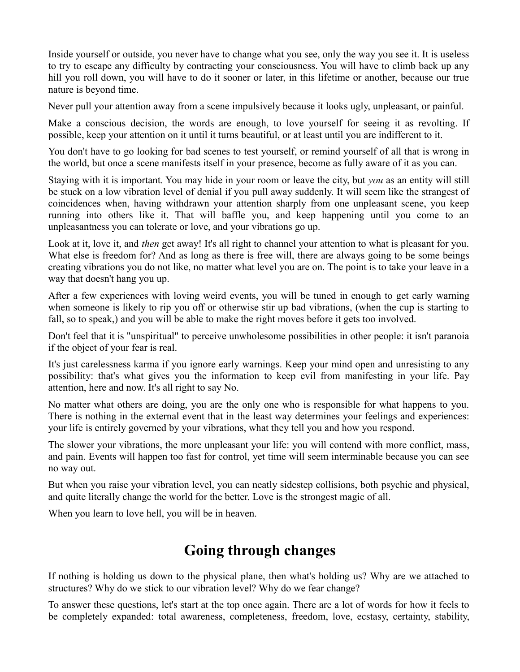Inside yourself or outside, you never have to change what you see, only the way you see it. It is useless to try to escape any difficulty by contracting your consciousness. You will have to climb back up any hill you roll down, you will have to do it sooner or later, in this lifetime or another, because our true nature is beyond time.

Never pull your attention away from a scene impulsively because it looks ugly, unpleasant, or painful.

Make a conscious decision, the words are enough, to love yourself for seeing it as revolting. If possible, keep your attention on it until it turns beautiful, or at least until you are indifferent to it.

You don't have to go looking for bad scenes to test yourself, or remind yourself of all that is wrong in the world, but once a scene manifests itself in your presence, become as fully aware of it as you can.

Staying with it is important. You may hide in your room or leave the city, but *you* as an entity will still be stuck on a low vibration level of denial if you pull away suddenly. It will seem like the strangest of coincidences when, having withdrawn your attention sharply from one unpleasant scene, you keep running into others like it. That will baffle you, and keep happening until you come to an unpleasantness you can tolerate or love, and your vibrations go up.

Look at it, love it, and *then* get away! It's all right to channel your attention to what is pleasant for you. What else is freedom for? And as long as there is free will, there are always going to be some beings creating vibrations you do not like, no matter what level you are on. The point is to take your leave in a way that doesn't hang you up.

After a few experiences with loving weird events, you will be tuned in enough to get early warning when someone is likely to rip you off or otherwise stir up bad vibrations, (when the cup is starting to fall, so to speak,) and you will be able to make the right moves before it gets too involved.

Don't feel that it is "unspiritual" to perceive unwholesome possibilities in other people: it isn't paranoia if the object of your fear is real.

It's just carelessness karma if you ignore early warnings. Keep your mind open and unresisting to any possibility: that's what gives you the information to keep evil from manifesting in your life. Pay attention, here and now. It's all right to say No.

No matter what others are doing, you are the only one who is responsible for what happens to you. There is nothing in the external event that in the least way determines your feelings and experiences: your life is entirely governed by your vibrations, what they tell you and how you respond.

The slower your vibrations, the more unpleasant your life: you will contend with more conflict, mass, and pain. Events will happen too fast for control, yet time will seem interminable because you can see no way out.

But when you raise your vibration level, you can neatly sidestep collisions, both psychic and physical, and quite literally change the world for the better. Love is the strongest magic of all.

When you learn to love hell, you will be in heaven.

# **Going through changes**

If nothing is holding us down to the physical plane, then what's holding us? Why are we attached to structures? Why do we stick to our vibration level? Why do we fear change?

To answer these questions, let's start at the top once again. There are a lot of words for how it feels to be completely expanded: total awareness, completeness, freedom, love, ecstasy, certainty, stability,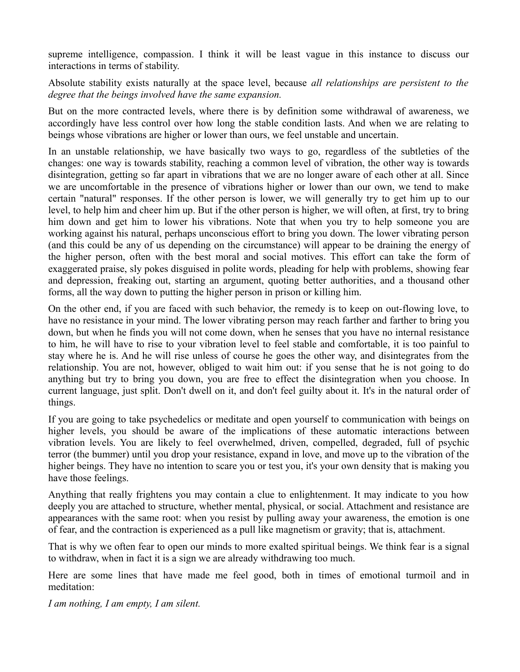supreme intelligence, compassion. I think it will be least vague in this instance to discuss our interactions in terms of stability.

Absolute stability exists naturally at the space level, because *all relationships are persistent to the degree that the beings involved have the same expansion.*

But on the more contracted levels, where there is by definition some withdrawal of awareness, we accordingly have less control over how long the stable condition lasts. And when we are relating to beings whose vibrations are higher or lower than ours, we feel unstable and uncertain.

In an unstable relationship, we have basically two ways to go, regardless of the subtleties of the changes: one way is towards stability, reaching a common level of vibration, the other way is towards disintegration, getting so far apart in vibrations that we are no longer aware of each other at all. Since we are uncomfortable in the presence of vibrations higher or lower than our own, we tend to make certain "natural" responses. If the other person is lower, we will generally try to get him up to our level, to help him and cheer him up. But if the other person is higher, we will often, at first, try to bring him down and get him to lower his vibrations. Note that when you try to help someone you are working against his natural, perhaps unconscious effort to bring you down. The lower vibrating person (and this could be any of us depending on the circumstance) will appear to be draining the energy of the higher person, often with the best moral and social motives. This effort can take the form of exaggerated praise, sly pokes disguised in polite words, pleading for help with problems, showing fear and depression, freaking out, starting an argument, quoting better authorities, and a thousand other forms, all the way down to putting the higher person in prison or killing him.

On the other end, if you are faced with such behavior, the remedy is to keep on out-flowing love, to have no resistance in your mind. The lower vibrating person may reach farther and farther to bring you down, but when he finds you will not come down, when he senses that you have no internal resistance to him, he will have to rise to your vibration level to feel stable and comfortable, it is too painful to stay where he is. And he will rise unless of course he goes the other way, and disintegrates from the relationship. You are not, however, obliged to wait him out: if you sense that he is not going to do anything but try to bring you down, you are free to effect the disintegration when you choose. In current language, just split. Don't dwell on it, and don't feel guilty about it. It's in the natural order of things.

If you are going to take psychedelics or meditate and open yourself to communication with beings on higher levels, you should be aware of the implications of these automatic interactions between vibration levels. You are likely to feel overwhelmed, driven, compelled, degraded, full of psychic terror (the bummer) until you drop your resistance, expand in love, and move up to the vibration of the higher beings. They have no intention to scare you or test you, it's your own density that is making you have those feelings.

Anything that really frightens you may contain a clue to enlightenment. It may indicate to you how deeply you are attached to structure, whether mental, physical, or social. Attachment and resistance are appearances with the same root: when you resist by pulling away your awareness, the emotion is one of fear, and the contraction is experienced as a pull like magnetism or gravity; that is, attachment.

That is why we often fear to open our minds to more exalted spiritual beings. We think fear is a signal to withdraw, when in fact it is a sign we are already withdrawing too much.

Here are some lines that have made me feel good, both in times of emotional turmoil and in meditation:

*I am nothing, I am empty, I am silent.*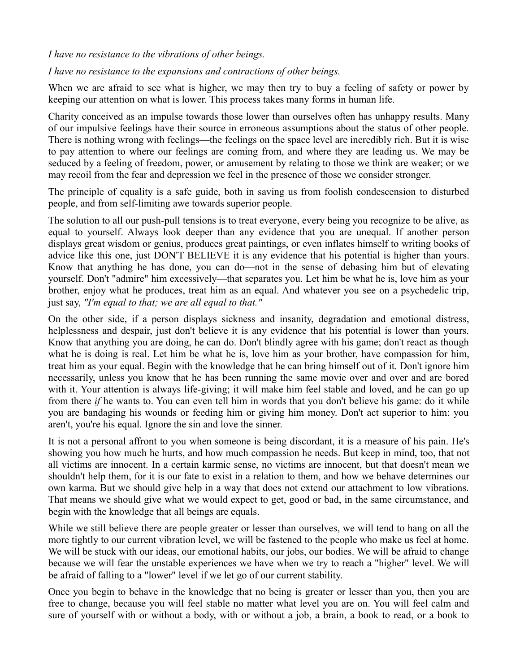*I have no resistance to the vibrations of other beings.*

*I have no resistance to the expansions and contractions of other beings.*

When we are afraid to see what is higher, we may then try to buy a feeling of safety or power by keeping our attention on what is lower. This process takes many forms in human life.

Charity conceived as an impulse towards those lower than ourselves often has unhappy results. Many of our impulsive feelings have their source in erroneous assumptions about the status of other people. There is nothing wrong with feelings—the feelings on the space level are incredibly rich. But it is wise to pay attention to where our feelings are coming from, and where they are leading us. We may be seduced by a feeling of freedom, power, or amusement by relating to those we think are weaker; or we may recoil from the fear and depression we feel in the presence of those we consider stronger.

The principle of equality is a safe guide, both in saving us from foolish condescension to disturbed people, and from self-limiting awe towards superior people.

The solution to all our push-pull tensions is to treat everyone, every being you recognize to be alive, as equal to yourself. Always look deeper than any evidence that you are unequal. If another person displays great wisdom or genius, produces great paintings, or even inflates himself to writing books of advice like this one, just DON'T BELIEVE it is any evidence that his potential is higher than yours. Know that anything he has done, you can do—not in the sense of debasing him but of elevating yourself. Don't "admire" him excessively—that separates you. Let him be what he is, love him as your brother, enjoy what he produces, treat him as an equal. And whatever you see on a psychedelic trip, just say, *"I'm equal to that; we are all equal to that."*

On the other side, if a person displays sickness and insanity, degradation and emotional distress, helplessness and despair, just don't believe it is any evidence that his potential is lower than yours. Know that anything you are doing, he can do. Don't blindly agree with his game; don't react as though what he is doing is real. Let him be what he is, love him as your brother, have compassion for him, treat him as your equal. Begin with the knowledge that he can bring himself out of it. Don't ignore him necessarily, unless you know that he has been running the same movie over and over and are bored with it. Your attention is always life-giving; it will make him feel stable and loved, and he can go up from there *if* he wants to. You can even tell him in words that you don't believe his game: do it while you are bandaging his wounds or feeding him or giving him money. Don't act superior to him: you aren't, you're his equal. Ignore the sin and love the sinner.

It is not a personal affront to you when someone is being discordant, it is a measure of his pain. He's showing you how much he hurts, and how much compassion he needs. But keep in mind, too, that not all victims are innocent. In a certain karmic sense, no victims are innocent, but that doesn't mean we shouldn't help them, for it is our fate to exist in a relation to them, and how we behave determines our own karma. But we should give help in a way that does not extend our attachment to low vibrations. That means we should give what we would expect to get, good or bad, in the same circumstance, and begin with the knowledge that all beings are equals.

While we still believe there are people greater or lesser than ourselves, we will tend to hang on all the more tightly to our current vibration level, we will be fastened to the people who make us feel at home. We will be stuck with our ideas, our emotional habits, our jobs, our bodies. We will be afraid to change because we will fear the unstable experiences we have when we try to reach a "higher" level. We will be afraid of falling to a "lower" level if we let go of our current stability.

Once you begin to behave in the knowledge that no being is greater or lesser than you, then you are free to change, because you will feel stable no matter what level you are on. You will feel calm and sure of yourself with or without a body, with or without a job, a brain, a book to read, or a book to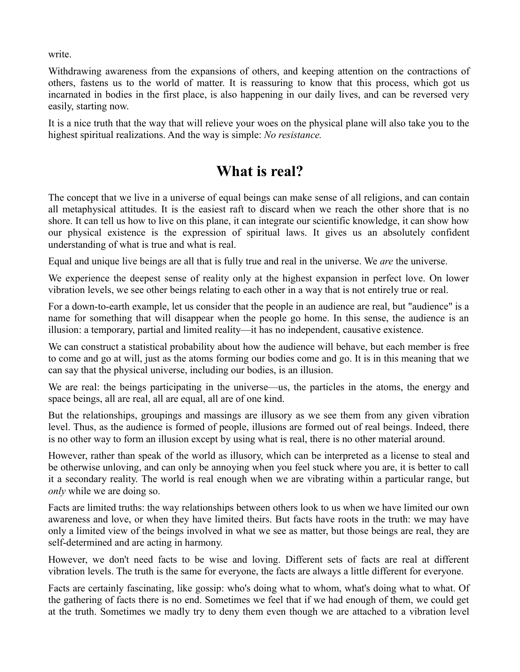write.

Withdrawing awareness from the expansions of others, and keeping attention on the contractions of others, fastens us to the world of matter. It is reassuring to know that this process, which got us incarnated in bodies in the first place, is also happening in our daily lives, and can be reversed very easily, starting now.

It is a nice truth that the way that will relieve your woes on the physical plane will also take you to the highest spiritual realizations. And the way is simple: *No resistance.*

# **What is real?**

The concept that we live in a universe of equal beings can make sense of all religions, and can contain all metaphysical attitudes. It is the easiest raft to discard when we reach the other shore that is no shore. It can tell us how to live on this plane, it can integrate our scientific knowledge, it can show how our physical existence is the expression of spiritual laws. It gives us an absolutely confident understanding of what is true and what is real.

Equal and unique live beings are all that is fully true and real in the universe. We *are* the universe.

We experience the deepest sense of reality only at the highest expansion in perfect love. On lower vibration levels, we see other beings relating to each other in a way that is not entirely true or real.

For a down-to-earth example, let us consider that the people in an audience are real, but "audience" is a name for something that will disappear when the people go home. In this sense, the audience is an illusion: a temporary, partial and limited reality—it has no independent, causative existence.

We can construct a statistical probability about how the audience will behave, but each member is free to come and go at will, just as the atoms forming our bodies come and go. It is in this meaning that we can say that the physical universe, including our bodies, is an illusion.

We are real: the beings participating in the universe—us, the particles in the atoms, the energy and space beings, all are real, all are equal, all are of one kind.

But the relationships, groupings and massings are illusory as we see them from any given vibration level. Thus, as the audience is formed of people, illusions are formed out of real beings. Indeed, there is no other way to form an illusion except by using what is real, there is no other material around.

However, rather than speak of the world as illusory, which can be interpreted as a license to steal and be otherwise unloving, and can only be annoying when you feel stuck where you are, it is better to call it a secondary reality. The world is real enough when we are vibrating within a particular range, but *only* while we are doing so.

Facts are limited truths: the way relationships between others look to us when we have limited our own awareness and love, or when they have limited theirs. But facts have roots in the truth: we may have only a limited view of the beings involved in what we see as matter, but those beings are real, they are self-determined and are acting in harmony.

However, we don't need facts to be wise and loving. Different sets of facts are real at different vibration levels. The truth is the same for everyone, the facts are always a little different for everyone.

Facts are certainly fascinating, like gossip: who's doing what to whom, what's doing what to what. Of the gathering of facts there is no end. Sometimes we feel that if we had enough of them, we could get at the truth. Sometimes we madly try to deny them even though we are attached to a vibration level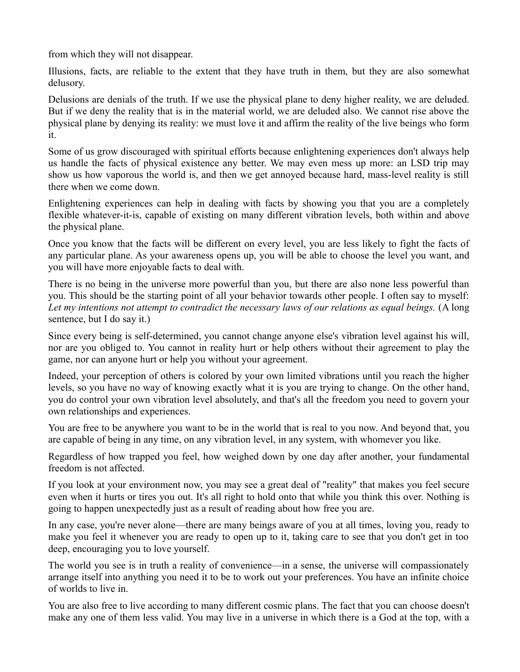from which they will not disappear.

Illusions, facts, are reliable to the extent that they have truth in them, but they are also somewhat delusory.

Delusions are denials of the truth. If we use the physical plane to deny higher reality, we are deluded. But if we deny the reality that is in the material world, we are deluded also. We cannot rise above the physical plane by denying its reality: we must love it and affirm the reality of the live beings who form it.

Some of us grow discouraged with spiritual efforts because enlightening experiences don't always help us handle the facts of physical existence any better. We may even mess up more: an LSD trip may show us how vaporous the world is, and then we get annoyed because hard, mass-level reality is still there when we come down.

Enlightening experiences can help in dealing with facts by showing you that you are a completely flexible whatever-it-is, capable of existing on many different vibration levels, both within and above the physical plane.

Once you know that the facts will be different on every level, you are less likely to fight the facts of any particular plane. As your awareness opens up, you will be able to choose the level you want, and you will have more enjoyable facts to deal with.

There is no being in the universe more powerful than you, but there are also none less powerful than you. This should be the starting point of all your behavior towards other people. I often say to myself: *Let my intentions not attempt to contradict the necessary laws of our relations as equal beings.* (A long sentence, but I do say it.)

Since every being is self-determined, you cannot change anyone else's vibration level against his will, nor are you obliged to. You cannot in reality hurt or help others without their agreement to play the game, nor can anyone hurt or help you without your agreement.

Indeed, your perception of others is colored by your own limited vibrations until you reach the higher levels, so you have no way of knowing exactly what it is you are trying to change. On the other hand, you do control your own vibration level absolutely, and that's all the freedom you need to govern your own relationships and experiences.

You are free to be anywhere you want to be in the world that is real to you now. And beyond that, you are capable of being in any time, on any vibration level, in any system, with whomever you like.

Regardless of how trapped you feel, how weighed down by one day after another, your fundamental freedom is not affected.

If you look at your environment now, you may see a great deal of "reality" that makes you feel secure even when it hurts or tires you out. It's all right to hold onto that while you think this over. Nothing is going to happen unexpectedly just as a result of reading about how free you are.

In any case, you're never alone—there are many beings aware of you at all times, loving you, ready to make you feel it whenever you are ready to open up to it, taking care to see that you don't get in too deep, encouraging you to love yourself.

The world you see is in truth a reality of convenience—in a sense, the universe will compassionately arrange itself into anything you need it to be to work out your preferences. You have an infinite choice of worlds to live in.

You are also free to live according to many different cosmic plans. The fact that you can choose doesn't make any one of them less valid. You may live in a universe in which there is a God at the top, with a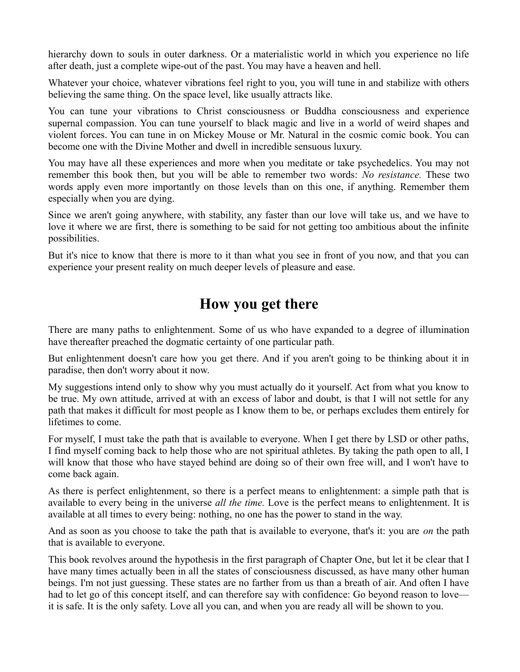hierarchy down to souls in outer darkness. Or a materialistic world in which you experience no life after death, just a complete wipe-out of the past. You may have a heaven and hell.

Whatever your choice, whatever vibrations feel right to you, you will tune in and stabilize with others believing the same thing. On the space level, like usually attracts like.

You can tune your vibrations to Christ consciousness or Buddha consciousness and experience supernal compassion. You can tune yourself to black magic and live in a world of weird shapes and violent forces. You can tune in on Mickey Mouse or Mr. Natural in the cosmic comic book. You can become one with the Divine Mother and dwell in incredible sensuous luxury.

You may have all these experiences and more when you meditate or take psychedelics. You may not remember this book then, but you will be able to remember two words: *No resistance.* These two words apply even more importantly on those levels than on this one, if anything. Remember them especially when you are dying.

Since we aren't going anywhere, with stability, any faster than our love will take us, and we have to love it where we are first, there is something to be said for not getting too ambitious about the infinite possibilities.

But it's nice to know that there is more to it than what you see in front of you now, and that you can experience your present reality on much deeper levels of pleasure and ease.

## **How you get there**

There are many paths to enlightenment. Some of us who have expanded to a degree of illumination have thereafter preached the dogmatic certainty of one particular path.

But enlightenment doesn't care how you get there. And if you aren't going to be thinking about it in paradise, then don't worry about it now.

My suggestions intend only to show why you must actually do it yourself. Act from what you know to be true. My own attitude, arrived at with an excess of labor and doubt, is that I will not settle for any path that makes it difficult for most people as I know them to be, or perhaps excludes them entirely for lifetimes to come.

For myself, I must take the path that is available to everyone. When I get there by LSD or other paths, I find myself coming back to help those who are not spiritual athletes. By taking the path open to all, I will know that those who have stayed behind are doing so of their own free will, and I won't have to come back again.

As there is perfect enlightenment, so there is a perfect means to enlightenment: a simple path that is available to every being in the universe *all the time.* Love is the perfect means to enlightenment. It is available at all times to every being: nothing, no one has the power to stand in the way.

And as soon as you choose to take the path that is available to everyone, that's it: you are *on* the path that is available to everyone.

This book revolves around the hypothesis in the first paragraph of Chapter One, but let it be clear that I have many times actually been in all the states of consciousness discussed, as have many other human beings. I'm not just guessing. These states are no farther from us than a breath of air. And often I have had to let go of this concept itself, and can therefore say with confidence: Go beyond reason to love it is safe. It is the only safety. Love all you can, and when you are ready all will be shown to you.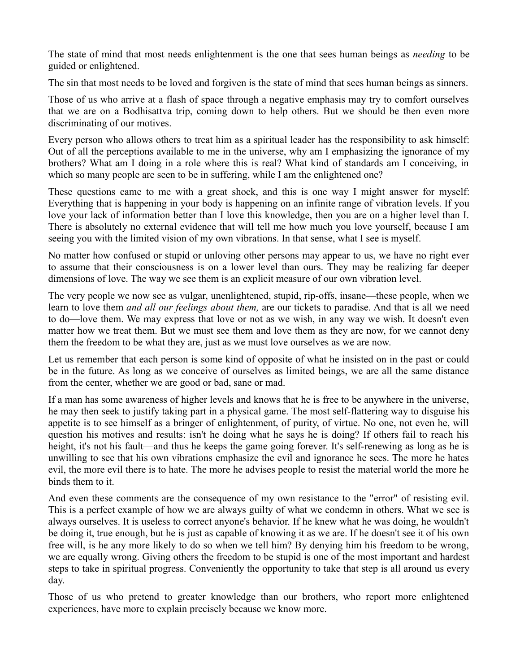The state of mind that most needs enlightenment is the one that sees human beings as *needing* to be guided or enlightened.

The sin that most needs to be loved and forgiven is the state of mind that sees human beings as sinners.

Those of us who arrive at a flash of space through a negative emphasis may try to comfort ourselves that we are on a Bodhisattva trip, coming down to help others. But we should be then even more discriminating of our motives.

Every person who allows others to treat him as a spiritual leader has the responsibility to ask himself: Out of all the perceptions available to me in the universe, why am I emphasizing the ignorance of my brothers? What am I doing in a role where this is real? What kind of standards am I conceiving, in which so many people are seen to be in suffering, while I am the enlightened one?

These questions came to me with a great shock, and this is one way I might answer for myself: Everything that is happening in your body is happening on an infinite range of vibration levels. If you love your lack of information better than I love this knowledge, then you are on a higher level than I. There is absolutely no external evidence that will tell me how much you love yourself, because I am seeing you with the limited vision of my own vibrations. In that sense, what I see is myself.

No matter how confused or stupid or unloving other persons may appear to us, we have no right ever to assume that their consciousness is on a lower level than ours. They may be realizing far deeper dimensions of love. The way we see them is an explicit measure of our own vibration level.

The very people we now see as vulgar, unenlightened, stupid, rip-offs, insane—these people, when we learn to love them *and all our feelings about them,* are our tickets to paradise. And that is all we need to do—love them. We may express that love or not as we wish, in any way we wish. It doesn't even matter how we treat them. But we must see them and love them as they are now, for we cannot deny them the freedom to be what they are, just as we must love ourselves as we are now.

Let us remember that each person is some kind of opposite of what he insisted on in the past or could be in the future. As long as we conceive of ourselves as limited beings, we are all the same distance from the center, whether we are good or bad, sane or mad.

If a man has some awareness of higher levels and knows that he is free to be anywhere in the universe, he may then seek to justify taking part in a physical game. The most self-flattering way to disguise his appetite is to see himself as a bringer of enlightenment, of purity, of virtue. No one, not even he, will question his motives and results: isn't he doing what he says he is doing? If others fail to reach his height, it's not his fault—and thus he keeps the game going forever. It's self-renewing as long as he is unwilling to see that his own vibrations emphasize the evil and ignorance he sees. The more he hates evil, the more evil there is to hate. The more he advises people to resist the material world the more he binds them to it.

And even these comments are the consequence of my own resistance to the "error" of resisting evil. This is a perfect example of how we are always guilty of what we condemn in others. What we see is always ourselves. It is useless to correct anyone's behavior. If he knew what he was doing, he wouldn't be doing it, true enough, but he is just as capable of knowing it as we are. If he doesn't see it of his own free will, is he any more likely to do so when we tell him? By denying him his freedom to be wrong, we are equally wrong. Giving others the freedom to be stupid is one of the most important and hardest steps to take in spiritual progress. Conveniently the opportunity to take that step is all around us every day.

Those of us who pretend to greater knowledge than our brothers, who report more enlightened experiences, have more to explain precisely because we know more.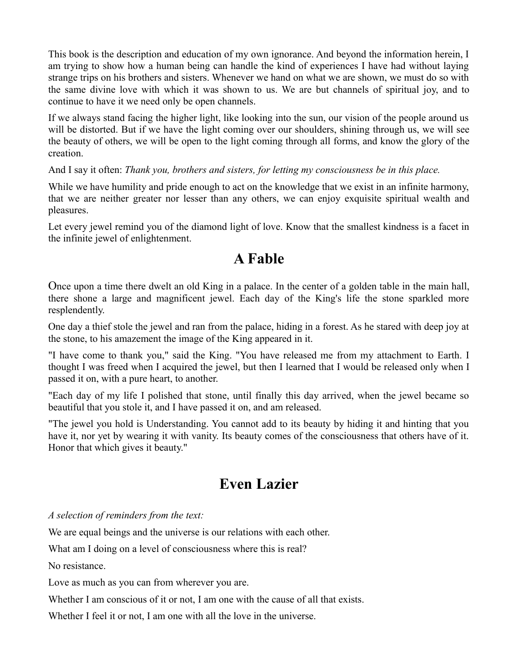This book is the description and education of my own ignorance. And beyond the information herein, I am trying to show how a human being can handle the kind of experiences I have had without laying strange trips on his brothers and sisters. Whenever we hand on what we are shown, we must do so with the same divine love with which it was shown to us. We are but channels of spiritual joy, and to continue to have it we need only be open channels.

If we always stand facing the higher light, like looking into the sun, our vision of the people around us will be distorted. But if we have the light coming over our shoulders, shining through us, we will see the beauty of others, we will be open to the light coming through all forms, and know the glory of the creation.

And I say it often: *Thank you, brothers and sisters, for letting my consciousness be in this place.*

While we have humility and pride enough to act on the knowledge that we exist in an infinite harmony, that we are neither greater nor lesser than any others, we can enjoy exquisite spiritual wealth and pleasures.

Let every jewel remind you of the diamond light of love. Know that the smallest kindness is a facet in the infinite jewel of enlightenment.

## **A Fable**

Once upon a time there dwelt an old King in a palace. In the center of a golden table in the main hall, there shone a large and magnificent jewel. Each day of the King's life the stone sparkled more resplendently.

One day a thief stole the jewel and ran from the palace, hiding in a forest. As he stared with deep joy at the stone, to his amazement the image of the King appeared in it.

"I have come to thank you," said the King. "You have released me from my attachment to Earth. I thought I was freed when I acquired the jewel, but then I learned that I would be released only when I passed it on, with a pure heart, to another.

"Each day of my life I polished that stone, until finally this day arrived, when the jewel became so beautiful that you stole it, and I have passed it on, and am released.

"The jewel you hold is Understanding. You cannot add to its beauty by hiding it and hinting that you have it, nor yet by wearing it with vanity. Its beauty comes of the consciousness that others have of it. Honor that which gives it beauty."

### **Even Lazier**

*A selection of reminders from the text:*

We are equal beings and the universe is our relations with each other.

What am I doing on a level of consciousness where this is real?

No resistance.

Love as much as you can from wherever you are.

Whether I am conscious of it or not, I am one with the cause of all that exists.

Whether I feel it or not, I am one with all the love in the universe.